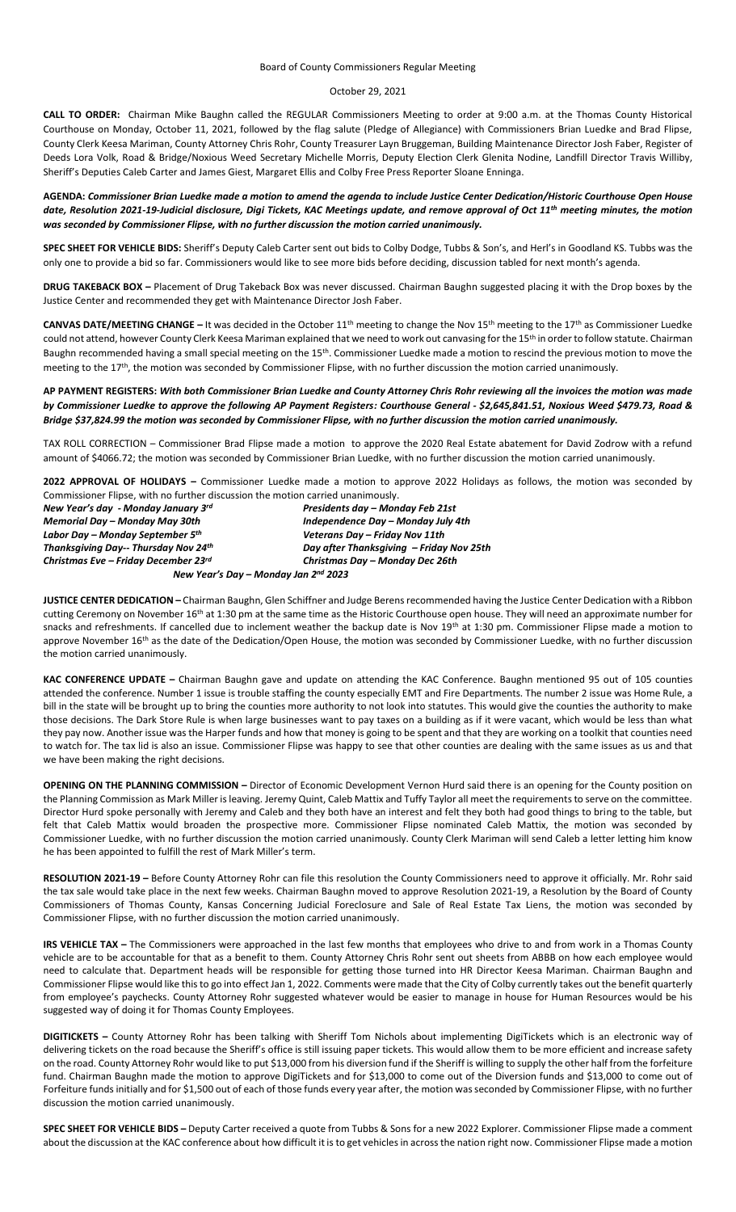## October 29, 2021

**CALL TO ORDER:** Chairman Mike Baughn called the REGULAR Commissioners Meeting to order at 9:00 a.m. at the Thomas County Historical Courthouse on Monday, October 11, 2021, followed by the flag salute (Pledge of Allegiance) with Commissioners Brian Luedke and Brad Flipse, County Clerk Keesa Mariman, County Attorney Chris Rohr, County Treasurer Layn Bruggeman, Building Maintenance Director Josh Faber, Register of Deeds Lora Volk, Road & Bridge/Noxious Weed Secretary Michelle Morris, Deputy Election Clerk Glenita Nodine, Landfill Director Travis Williby, Sheriff's Deputies Caleb Carter and James Giest, Margaret Ellis and Colby Free Press Reporter Sloane Enninga.

**AGENDA:** *Commissioner Brian Luedke made a motion to amend the agenda to include Justice Center Dedication/Historic Courthouse Open House date, Resolution 2021-19-Judicial disclosure, Digi Tickets, KAC Meetings update, and remove approval of Oct 11th meeting minutes, the motion was seconded by Commissioner Flipse, with no further discussion the motion carried unanimously.*

**SPEC SHEET FOR VEHICLE BIDS:** Sheriff's Deputy Caleb Carter sent out bids to Colby Dodge, Tubbs & Son's, and Herl's in Goodland KS. Tubbs was the only one to provide a bid so far. Commissioners would like to see more bids before deciding, discussion tabled for next month's agenda.

**DRUG TAKEBACK BOX –** Placement of Drug Takeback Box was never discussed. Chairman Baughn suggested placing it with the Drop boxes by the Justice Center and recommended they get with Maintenance Director Josh Faber.

**CANVAS DATE/MEETING CHANGE –** It was decided in the October 11th meeting to change the Nov 15th meeting to the 17th as Commissioner Luedke could not attend, however County Clerk Keesa Mariman explained that we need to work out canvasing for the 15<sup>th</sup> in order to follow statute. Chairman Baughn recommended having a small special meeting on the 15<sup>th</sup>. Commissioner Luedke made a motion to rescind the previous motion to move the meeting to the 17<sup>th</sup>, the motion was seconded by Commissioner Flipse, with no further discussion the motion carried unanimously.

**AP PAYMENT REGISTERS:** *With both Commissioner Brian Luedke and County Attorney Chris Rohr reviewing all the invoices the motion was made by Commissioner Luedke to approve the following AP Payment Registers: Courthouse General - \$2,645,841.51, Noxious Weed \$479.73, Road & Bridge \$37,824.99 the motion was seconded by Commissioner Flipse, with no further discussion the motion carried unanimously.*

TAX ROLL CORRECTION – Commissioner Brad Flipse made a motion to approve the 2020 Real Estate abatement for David Zodrow with a refund amount of \$4066.72; the motion was seconded by Commissioner Brian Luedke, with no further discussion the motion carried unanimously.

**2022 APPROVAL OF HOLIDAYS –** Commissioner Luedke made a motion to approve 2022 Holidays as follows, the motion was seconded by Commissioner Flipse, with no further discussion the motion carried unanimously.

| New Year's day - Monday January 3rd          | Presidents day - Monday Feb 21st         |
|----------------------------------------------|------------------------------------------|
| Memorial Day – Monday May 30th               | Independence Day - Monday July 4th       |
| Labor Day – Monday September 5 <sup>th</sup> | Veterans Day - Friday Nov 11th           |
| Thanksgiving Day-- Thursday Nov 24th         | Day after Thanksgiving - Friday Nov 25th |
| Christmas Eve – Friday December 23rd         | Christmas Day - Monday Dec 26th          |
|                                              | New Year's Day - Monday Jan 2nd 2023     |

**JUSTICE CENTER DEDICATION –** Chairman Baughn, Glen Schiffner and Judge Berens recommended having the Justice Center Dedication with a Ribbon cutting Ceremony on November 16<sup>th</sup> at 1:30 pm at the same time as the Historic Courthouse open house. They will need an approximate number for snacks and refreshments. If cancelled due to inclement weather the backup date is Nov 19<sup>th</sup> at 1:30 pm. Commissioner Flipse made a motion to approve November 16<sup>th</sup> as the date of the Dedication/Open House, the motion was seconded by Commissioner Luedke, with no further discussion the motion carried unanimously.

**KAC CONFERENCE UPDATE –** Chairman Baughn gave and update on attending the KAC Conference. Baughn mentioned 95 out of 105 counties attended the conference. Number 1 issue is trouble staffing the county especially EMT and Fire Departments. The number 2 issue was Home Rule, a bill in the state will be brought up to bring the counties more authority to not look into statutes. This would give the counties the authority to make those decisions. The Dark Store Rule is when large businesses want to pay taxes on a building as if it were vacant, which would be less than what they pay now. Another issue was the Harper funds and how that money is going to be spent and that they are working on a toolkit that counties need to watch for. The tax lid is also an issue. Commissioner Flipse was happy to see that other counties are dealing with the same issues as us and that we have been making the right decisions.

**OPENING ON THE PLANNING COMMISSION –** Director of Economic Development Vernon Hurd said there is an opening for the County position on the Planning Commission as Mark Miller is leaving. Jeremy Quint, Caleb Mattix and Tuffy Taylor all meet the requirements to serve on the committee. Director Hurd spoke personally with Jeremy and Caleb and they both have an interest and felt they both had good things to bring to the table, but felt that Caleb Mattix would broaden the prospective more. Commissioner Flipse nominated Caleb Mattix, the motion was seconded by Commissioner Luedke, with no further discussion the motion carried unanimously. County Clerk Mariman will send Caleb a letter letting him know he has been appointed to fulfill the rest of Mark Miller's term.

**RESOLUTION 2021-19 –** Before County Attorney Rohr can file this resolution the County Commissioners need to approve it officially. Mr. Rohr said the tax sale would take place in the next few weeks. Chairman Baughn moved to approve Resolution 2021-19, a Resolution by the Board of County Commissioners of Thomas County, Kansas Concerning Judicial Foreclosure and Sale of Real Estate Tax Liens, the motion was seconded by Commissioner Flipse, with no further discussion the motion carried unanimously.

**IRS VEHICLE TAX –** The Commissioners were approached in the last few months that employees who drive to and from work in a Thomas County vehicle are to be accountable for that as a benefit to them. County Attorney Chris Rohr sent out sheets from ABBB on how each employee would need to calculate that. Department heads will be responsible for getting those turned into HR Director Keesa Mariman. Chairman Baughn and Commissioner Flipse would like this to go into effect Jan 1, 2022. Comments were made that the City of Colby currently takes out the benefit quarterly from employee's paychecks. County Attorney Rohr suggested whatever would be easier to manage in house for Human Resources would be his suggested way of doing it for Thomas County Employees.

**DIGITICKETS –** County Attorney Rohr has been talking with Sheriff Tom Nichols about implementing DigiTickets which is an electronic way of delivering tickets on the road because the Sheriff's office is still issuing paper tickets. This would allow them to be more efficient and increase safety on the road. County Attorney Rohr would like to put \$13,000 from his diversion fund if the Sheriff is willing to supply the other half from the forfeiture fund. Chairman Baughn made the motion to approve DigiTickets and for \$13,000 to come out of the Diversion funds and \$13,000 to come out of Forfeiture funds initially and for \$1,500 out of each of those funds every year after, the motion was seconded by Commissioner Flipse, with no further discussion the motion carried unanimously.

**SPEC SHEET FOR VEHICLE BIDS –** Deputy Carter received a quote from Tubbs & Sons for a new 2022 Explorer. Commissioner Flipse made a comment about the discussion at the KAC conference about how difficult it is to get vehicles in across the nation right now. Commissioner Flipse made a motion